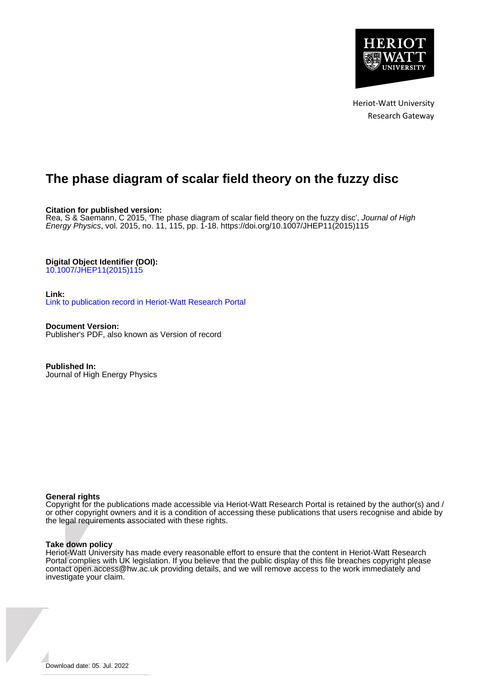

Heriot-Watt University Research Gateway

## **The phase diagram of scalar field theory on the fuzzy disc**

**Citation for published version:**

Rea, S & Saemann, C 2015, 'The phase diagram of scalar field theory on the fuzzy disc', Journal of High Energy Physics, vol. 2015, no. 11, 115, pp. 1-18. [https://doi.org/10.1007/JHEP11\(2015\)115](https://doi.org/10.1007/JHEP11(2015)115)

**Digital Object Identifier (DOI):**

[10.1007/JHEP11\(2015\)115](https://doi.org/10.1007/JHEP11(2015)115)

**Link:** [Link to publication record in Heriot-Watt Research Portal](https://researchportal.hw.ac.uk/en/publications/f00d4884-da53-44d1-b518-d3e6666e05b0)

**Document Version:** Publisher's PDF, also known as Version of record

**Published In:** Journal of High Energy Physics

## **General rights**

Copyright for the publications made accessible via Heriot-Watt Research Portal is retained by the author(s) and / or other copyright owners and it is a condition of accessing these publications that users recognise and abide by the legal requirements associated with these rights.

#### **Take down policy**

Heriot-Watt University has made every reasonable effort to ensure that the content in Heriot-Watt Research Portal complies with UK legislation. If you believe that the public display of this file breaches copyright please contact open.access@hw.ac.uk providing details, and we will remove access to the work immediately and investigate your claim.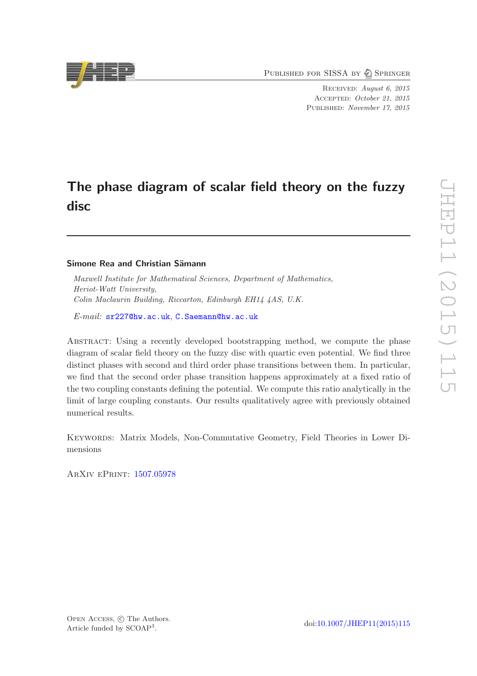PUBLISHED FOR SISSA BY 2 SPRINGER

Received: August 6, 2015 Accepted: October 21, 2015 PUBLISHED: November 17, 2015

# The phase diagram of scalar field theory on the fuzzy disc

## Simone Rea and Christian Sämann

Maxwell Institute for Mathematical Sciences, Department of Mathematics, Heriot-Watt University, Colin Maclaurin Building, Riccarton, Edinburgh EH14 4AS, U.K.

E-mail: [sr227@hw.ac.uk](mailto:sr227@hw.ac.uk), [C.Saemann@hw.ac.uk](mailto:C.Saemann@hw.ac.uk)

Abstract: Using a recently developed bootstrapping method, we compute the phase diagram of scalar field theory on the fuzzy disc with quartic even potential. We find three distinct phases with second and third order phase transitions between them. In particular, we find that the second order phase transition happens approximately at a fixed ratio of the two coupling constants defining the potential. We compute this ratio analytically in the limit of large coupling constants. Our results qualitatively agree with previously obtained numerical results.

Keywords: Matrix Models, Non-Commutative Geometry, Field Theories in Lower Dimensions

ArXiv ePrint: [1507.05978](http://arxiv.org/abs/1507.05978)

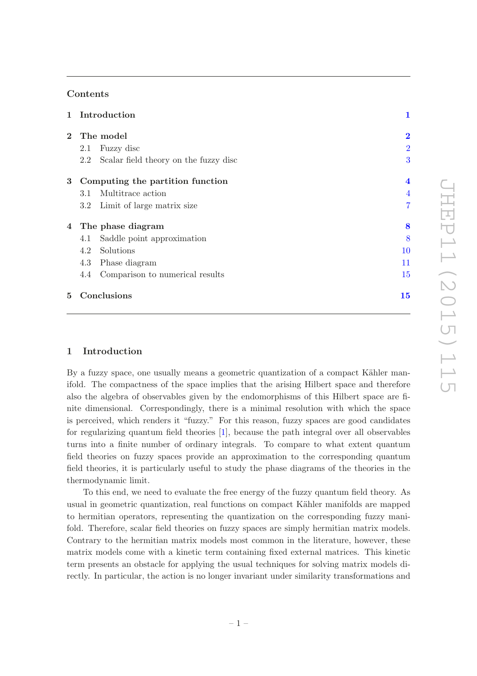## Contents

|                  | 1 Introduction                   |                                           | $\mathbf 1$             |
|------------------|----------------------------------|-------------------------------------------|-------------------------|
|                  | 2 The model                      |                                           | $\overline{2}$          |
|                  | 2.1                              | Fuzzy disc                                | $\overline{2}$          |
|                  |                                  | 2.2 Scalar field theory on the fuzzy disc | 3                       |
| 3                | Computing the partition function |                                           | $\overline{\mathbf{4}}$ |
|                  | 3.1                              | Multitrace action                         | $\overline{4}$          |
|                  | 3.2                              | Limit of large matrix size                | 7                       |
|                  | 4 The phase diagram              |                                           | 8                       |
|                  | 4.1                              | Saddle point approximation                | 8                       |
|                  | 4.2                              | Solutions                                 | 10                      |
|                  |                                  | 4.3 Phase diagram                         | 11                      |
|                  | 4.4                              | Comparison to numerical results           | 15                      |
| 5<br>Conclusions |                                  |                                           | 15                      |

## <span id="page-2-0"></span>1 Introduction

By a fuzzy space, one usually means a geometric quantization of a compact Kähler manifold. The compactness of the space implies that the arising Hilbert space and therefore also the algebra of observables given by the endomorphisms of this Hilbert space are finite dimensional. Correspondingly, there is a minimal resolution with which the space is perceived, which renders it "fuzzy." For this reason, fuzzy spaces are good candidates for regularizing quantum field theories [\[1](#page-17-0)], because the path integral over all observables turns into a finite number of ordinary integrals. To compare to what extent quantum field theories on fuzzy spaces provide an approximation to the corresponding quantum field theories, it is particularly useful to study the phase diagrams of the theories in the thermodynamic limit.

To this end, we need to evaluate the free energy of the fuzzy quantum field theory. As usual in geometric quantization, real functions on compact Kähler manifolds are mapped to hermitian operators, representing the quantization on the corresponding fuzzy manifold. Therefore, scalar field theories on fuzzy spaces are simply hermitian matrix models. Contrary to the hermitian matrix models most common in the literature, however, these matrix models come with a kinetic term containing fixed external matrices. This kinetic term presents an obstacle for applying the usual techniques for solving matrix models directly. In particular, the action is no longer invariant under similarity transformations and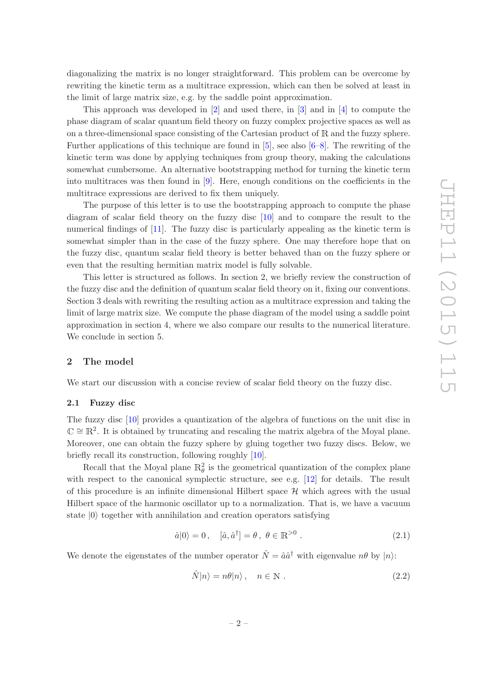diagonalizing the matrix is no longer straightforward. This problem can be overcome by rewriting the kinetic term as a multitrace expression, which can then be solved at least in the limit of large matrix size, e.g. by the saddle point approximation.

This approach was developed in [\[2](#page-17-1)] and used there, in [\[3\]](#page-17-2) and in [\[4\]](#page-17-3) to compute the phase diagram of scalar quantum field theory on fuzzy complex projective spaces as well as on a three-dimensional space consisting of the Cartesian product of <sup>R</sup> and the fuzzy sphere. Further applications of this technique are found in [\[5](#page-17-4)], see also [\[6](#page-17-5)[–8](#page-18-0)]. The rewriting of the kinetic term was done by applying techniques from group theory, making the calculations somewhat cumbersome. An alternative bootstrapping method for turning the kinetic term into multitraces was then found in [\[9\]](#page-18-1). Here, enough conditions on the coefficients in the multitrace expressions are derived to fix them uniquely.

The purpose of this letter is to use the bootstrapping approach to compute the phase diagram of scalar field theory on the fuzzy disc [\[10\]](#page-18-2) and to compare the result to the numerical findings of [\[11\]](#page-18-3). The fuzzy disc is particularly appealing as the kinetic term is somewhat simpler than in the case of the fuzzy sphere. One may therefore hope that on the fuzzy disc, quantum scalar field theory is better behaved than on the fuzzy sphere or even that the resulting hermitian matrix model is fully solvable.

This letter is structured as follows. In section 2, we briefly review the construction of the fuzzy disc and the definition of quantum scalar field theory on it, fixing our conventions. Section 3 deals with rewriting the resulting action as a multitrace expression and taking the limit of large matrix size. We compute the phase diagram of the model using a saddle point approximation in section 4, where we also compare our results to the numerical literature. We conclude in section 5.

## <span id="page-3-0"></span>2 The model

<span id="page-3-1"></span>We start our discussion with a concise review of scalar field theory on the fuzzy disc.

#### 2.1 Fuzzy disc

The fuzzy disc [\[10\]](#page-18-2) provides a quantization of the algebra of functions on the unit disc in  $\mathbb{C} \cong \mathbb{R}^2$ . It is obtained by truncating and rescaling the matrix algebra of the Moyal plane. Moreover, one can obtain the fuzzy sphere by gluing together two fuzzy discs. Below, we briefly recall its construction, following roughly [\[10\]](#page-18-2).

Recall that the Moyal plane  $\mathbb{R}^2_{\theta}$  is the geometrical quantization of the complex plane with respect to the canonical symplectic structure, see e.g. [\[12\]](#page-18-4) for details. The result of this procedure is an infinite dimensional Hilbert space  $\mathcal H$  which agrees with the usual Hilbert space of the harmonic oscillator up to a normalization. That is, we have a vacuum state  $|0\rangle$  together with annihilation and creation operators satisfying

$$
\hat{a}|0\rangle = 0, \quad [\hat{a}, \hat{a}^\dagger] = \theta, \ \theta \in \mathbb{R}^{>0} . \tag{2.1}
$$

We denote the eigenstates of the number operator  $\hat{N} = \hat{a}\hat{a}^{\dagger}$  with eigenvalue  $n\theta$  by  $|n\rangle$ :

$$
\hat{N}|n\rangle = n\theta|n\rangle, \quad n \in \mathbb{N} \tag{2.2}
$$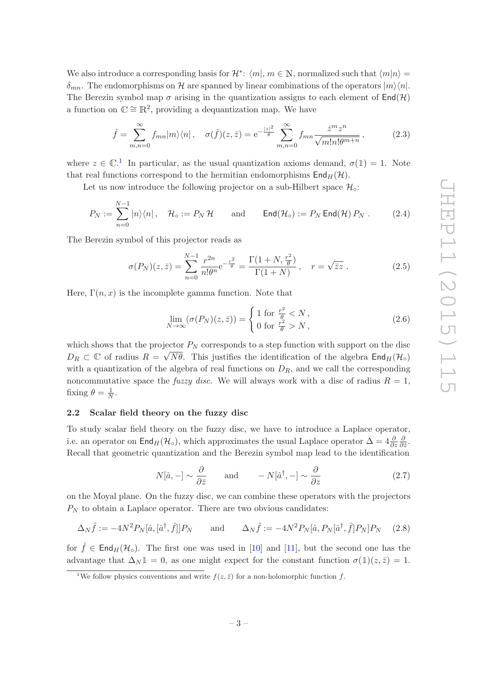We also introduce a corresponding basis for  $\mathcal{H}^*$ :  $\langle m|, m \in \mathbb{N}$ , normalized such that  $\langle m|n \rangle =$  $\delta_{mn}$ . The endomorphisms on H are spanned by linear combinations of the operators  $|m\rangle\langle n|$ . The Berezin symbol map  $\sigma$  arising in the quantization assigns to each element of  $\text{End}(\mathcal{H})$ a function on  $\mathbb{C} \cong \mathbb{R}^2$ , providing a dequantization map. We have

$$
\hat{f} = \sum_{m,n=0}^{\infty} f_{mn}|m\rangle\langle n| \,, \quad \sigma(\hat{f})(z,\bar{z}) = e^{-\frac{|z|^2}{\theta}} \sum_{m,n=0}^{\infty} f_{mn} \frac{\bar{z}^m z^n}{\sqrt{m! n! \theta^{m+n}}}, \quad (2.3)
$$

where  $z \in \mathbb{C}^1$  $z \in \mathbb{C}^1$  In particular, as the usual quantization axioms demand,  $\sigma(\mathbb{1}) = 1$ . Note that real functions correspond to the hermitian endomorphisms  $\mathsf{End}_H(\mathcal{H})$ .

Let us now introduce the following projector on a sub-Hilbert space  $\mathcal{H}_{\circ}$ :

$$
P_N := \sum_{n=0}^{N-1} |n\rangle\langle n|, \quad \mathcal{H}_\circ := P_N \mathcal{H} \quad \text{and} \quad \mathsf{End}(\mathcal{H}_\circ) := P_N \mathsf{End}(\mathcal{H}) P_N . \quad (2.4)
$$

The Berezin symbol of this projector reads as

$$
\sigma(P_N)(z,\bar{z}) = \sum_{n=0}^{N-1} \frac{r^{2n}}{n! \theta^n} e^{-\frac{r^2}{\theta}} = \frac{\Gamma(1+N, \frac{r^2}{\theta})}{\Gamma(1+N)}, \quad r = \sqrt{\bar{z}z} . \tag{2.5}
$$

Here,  $\Gamma(n, x)$  is the incomplete gamma function. Note that

$$
\lim_{N \to \infty} (\sigma(P_N)(z, \bar{z})) = \begin{cases} 1 \text{ for } \frac{r^2}{\theta} < N, \\ 0 \text{ for } \frac{r^2}{\theta} > N, \end{cases} \tag{2.6}
$$

which shows that the projector  $P_N$  corresponds to a step function with support on the disc  $D_R \subset \mathbb{C}$  of radius  $R = \sqrt{N\theta}$ . This justifies the identification of the algebra  $\mathsf{End}_H(\mathcal{H}_\circ)$ with a quantization of the algebra of real functions on  $D_R$ , and we call the corresponding noncommutative space the *fuzzy disc*. We will always work with a disc of radius  $R = 1$ , fixing  $\theta = \frac{1}{N}$ .

## <span id="page-4-0"></span>2.2 Scalar field theory on the fuzzy disc

To study scalar field theory on the fuzzy disc, we have to introduce a Laplace operator, i.e. an operator on  $\textsf{End}_H(\mathcal{H}_\circ)$ , which approximates the usual Laplace operator  $\Delta = 4\frac{\partial}{\partial z}$ ∂  $\frac{\partial}{\partial \bar{z}}$ . Recall that geometric quantization and the Berezin symbol map lead to the identification

$$
N[\hat{a}, -] \sim \frac{\partial}{\partial \bar{z}}
$$
 and  $-N[\hat{a}^{\dagger}, -] \sim \frac{\partial}{\partial z}$  (2.7)

on the Moyal plane. On the fuzzy disc, we can combine these operators with the projectors  $P_N$  to obtain a Laplace operator. There are two obvious candidates:

$$
\Delta_N \hat{f} := -4N^2 P_N[\hat{a}, [\hat{a}^\dagger, \hat{f}]]P_N \quad \text{and} \quad \Delta_N \hat{f} := -4N^2 P_N[\hat{a}, P_N[\hat{a}^\dagger, \hat{f}]P_N]P_N \quad (2.8)
$$

for  $\hat{f} \in \text{End}_{H}(\mathcal{H}_{o})$ . The first one was used in [\[10\]](#page-18-2) and [\[11](#page-18-3)], but the second one has the advantage that  $\Delta_N \mathbb{1} = 0$ , as one might expect for the constant function  $\sigma(\mathbb{1})(z,\bar{z}) = 1$ .

<span id="page-4-1"></span><sup>&</sup>lt;sup>1</sup>We follow physics conventions and write  $f(z, \bar{z})$  for a non-holomorphic function f.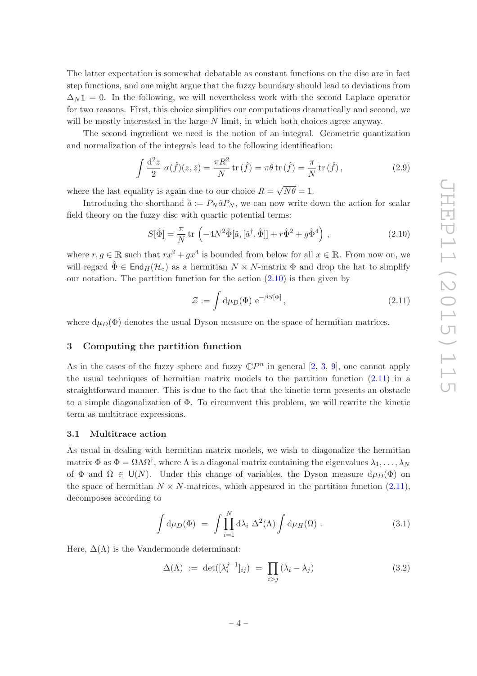The latter expectation is somewhat debatable as constant functions on the disc are in fact step functions, and one might argue that the fuzzy boundary should lead to deviations from  $\Delta_N \mathbb{1} = 0$ . In the following, we will nevertheless work with the second Laplace operator for two reasons. First, this choice simplifies our computations dramatically and second, we will be mostly interested in the large  $N$  limit, in which both choices agree anyway.

The second ingredient we need is the notion of an integral. Geometric quantization and normalization of the integrals lead to the following identification:

$$
\int \frac{\mathrm{d}^2 z}{2} \,\sigma(\hat{f})(z,\bar{z}) = \frac{\pi R^2}{N} \,\text{tr}\,(\hat{f}) = \pi \theta \,\text{tr}\,(\hat{f}) = \frac{\pi}{N} \,\text{tr}\,(\hat{f}),\tag{2.9}
$$

where the last equality is again due to our choice  $R = \sqrt{N\theta} = 1$ .

Introducing the shorthand  $\check{a} := P_N \hat{a} P_N$ , we can now write down the action for scalar field theory on the fuzzy disc with quartic potential terms:

<span id="page-5-2"></span>
$$
S[\hat{\Phi}] = \frac{\pi}{N} \operatorname{tr} \left( -4N^2 \hat{\Phi}[\check{a}, [\check{a}^\dagger, \hat{\Phi}]] + r \hat{\Phi}^2 + g \hat{\Phi}^4 \right), \qquad (2.10)
$$

where  $r, g \in \mathbb{R}$  such that  $rx^2 + gx^4$  is bounded from below for all  $x \in \mathbb{R}$ . From now on, we will regard  $\hat{\Phi} \in \text{End}_{H}(\mathcal{H}_{o})$  as a hermitian  $N \times N$ -matrix  $\Phi$  and drop the hat to simplify our notation. The partition function for the action  $(2.10)$  is then given by

<span id="page-5-3"></span>
$$
\mathcal{Z} := \int d\mu_D(\Phi) \, e^{-\beta S[\Phi]}, \tag{2.11}
$$

<span id="page-5-0"></span>where  $d\mu_D(\Phi)$  denotes the usual Dyson measure on the space of hermitian matrices.

## 3 Computing the partition function

As in the cases of the fuzzy sphere and fuzzy  $\mathbb{C}P^n$  in general [\[2](#page-17-1), [3](#page-17-2), [9\]](#page-18-1), one cannot apply the usual techniques of hermitian matrix models to the partition function [\(2.11\)](#page-5-3) in a straightforward manner. This is due to the fact that the kinetic term presents an obstacle to a simple diagonalization of Φ. To circumvent this problem, we will rewrite the kinetic term as multitrace expressions.

#### <span id="page-5-1"></span>3.1 Multitrace action

As usual in dealing with hermitian matrix models, we wish to diagonalize the hermitian matrix  $\Phi$  as  $\Phi = \Omega \Lambda \Omega^{\dagger}$ , where  $\Lambda$  is a diagonal matrix containing the eigenvalues  $\lambda_1, \ldots, \lambda_N$ of  $\Phi$  and  $\Omega \in U(N)$ . Under this change of variables, the Dyson measure  $d\mu_D(\Phi)$  on the space of hermitian  $N \times N$ -matrices, which appeared in the partition function [\(2.11\)](#page-5-3), decomposes according to

$$
\int d\mu_D(\Phi) = \int \prod_{i=1}^N d\lambda_i \ \Delta^2(\Lambda) \int d\mu_H(\Omega) \ . \tag{3.1}
$$

Here,  $\Delta(\Lambda)$  is the Vandermonde determinant:

$$
\Delta(\Lambda) := \det([\lambda_i^{j-1}]_{ij}) = \prod_{i > j} (\lambda_i - \lambda_j)
$$
\n(3.2)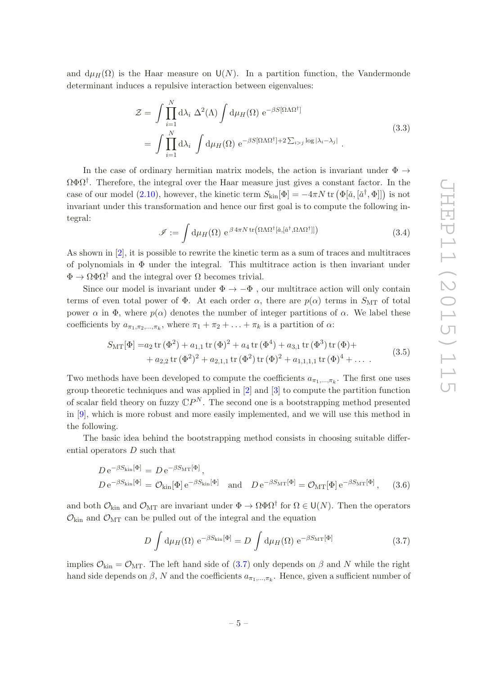and  $d\mu_H(\Omega)$  is the Haar measure on U(N). In a partition function, the Vandermonde determinant induces a repulsive interaction between eigenvalues:

<span id="page-6-2"></span>
$$
\mathcal{Z} = \int \prod_{i=1}^{N} d\lambda_i \ \Delta^2(\Lambda) \int d\mu_H(\Omega) \ e^{-\beta S[\Omega \Lambda \Omega^\dagger]} \n= \int \prod_{i=1}^{N} d\lambda_i \ \int d\mu_H(\Omega) \ e^{-\beta S[\Omega \Lambda \Omega^\dagger] + 2 \sum_{i>j} \log |\lambda_i - \lambda_j|}.
$$
\n(3.3)

In the case of ordinary hermitian matrix models, the action is invariant under  $\Phi \rightarrow$  $\Omega \Phi \Omega^{\dagger}$ . Therefore, the integral over the Haar measure just gives a constant factor. In the case of our model [\(2.10\)](#page-5-2), however, the kinetic term  $S_{\text{kin}}[\Phi] = -4\pi N \text{ tr }(\Phi[\check{a}, [\check{a}^\dagger, \Phi]])$  is not invariant under this transformation and hence our first goal is to compute the following integral:

$$
\mathscr{I} := \int d\mu_H(\Omega) e^{\beta 4\pi N \operatorname{tr}(\Omega \Lambda \Omega^\dagger [\check{a}, [\check{a}^\dagger, \Omega \Lambda \Omega^\dagger]])} \tag{3.4}
$$

As shown in [\[2](#page-17-1)], it is possible to rewrite the kinetic term as a sum of traces and multitraces of polynomials in  $\Phi$  under the integral. This multitrace action is then invariant under  $\Phi \to \Omega \Phi \Omega^{\dagger}$  and the integral over  $\Omega$  becomes trivial.

Since our model is invariant under  $\Phi \to -\Phi$ , our multitrace action will only contain terms of even total power of  $\Phi$ . At each order  $\alpha$ , there are  $p(\alpha)$  terms in  $S_{\text{MT}}$  of total power  $\alpha$  in  $\Phi$ , where  $p(\alpha)$  denotes the number of integer partitions of  $\alpha$ . We label these coefficients by  $a_{\pi_1, \pi_2, ..., \pi_k}$ , where  $\pi_1 + \pi_2 + ... + \pi_k$  is a partition of  $\alpha$ :

<span id="page-6-1"></span>
$$
S_{\text{MT}}[\Phi] = a_2 \operatorname{tr} (\Phi^2) + a_{1,1} \operatorname{tr} (\Phi)^2 + a_4 \operatorname{tr} (\Phi^4) + a_{3,1} \operatorname{tr} (\Phi^3) \operatorname{tr} (\Phi) ++ a_{2,2} \operatorname{tr} (\Phi^2)^2 + a_{2,1,1} \operatorname{tr} (\Phi^2) \operatorname{tr} (\Phi)^2 + a_{1,1,1,1} \operatorname{tr} (\Phi)^4 + \dots
$$
\n(3.5)

Two methods have been developed to compute the coefficients  $a_{\pi_1,\dots,\pi_k}$ . The first one uses group theoretic techniques and was applied in [\[2](#page-17-1)] and [\[3\]](#page-17-2) to compute the partition function of scalar field theory on fuzzy  $\mathbb{C}P^N$ . The second one is a bootstrapping method presented in [\[9\]](#page-18-1), which is more robust and more easily implemented, and we will use this method in the following.

The basic idea behind the bootstrapping method consists in choosing suitable differential operators D such that

$$
De^{-\beta S_{\text{kin}}[\Phi]} = De^{-\beta S_{\text{MT}}[\Phi]},
$$
  
\n
$$
De^{-\beta S_{\text{kin}}[\Phi]} = \mathcal{O}_{\text{kin}}[\Phi] e^{-\beta S_{\text{kin}}[\Phi]} \quad \text{and} \quad De^{-\beta S_{\text{MT}}[\Phi]} = \mathcal{O}_{\text{MT}}[\Phi] e^{-\beta S_{\text{MT}}[\Phi]}, \quad (3.6)
$$

and both  $\mathcal{O}_{kin}$  and  $\mathcal{O}_{MT}$  are invariant under  $\Phi \to \Omega \Phi \Omega^{\dagger}$  for  $\Omega \in U(N)$ . Then the operators  $\mathcal{O}_{\text{kin}}$  and  $\mathcal{O}_{\text{MT}}$  can be pulled out of the integral and the equation

<span id="page-6-0"></span>
$$
D \int d\mu_H(\Omega) e^{-\beta S_{\text{kin}}[\Phi]} = D \int d\mu_H(\Omega) e^{-\beta S_{\text{MT}}[\Phi]} \tag{3.7}
$$

implies  $\mathcal{O}_{\text{kin}} = \mathcal{O}_{\text{MT}}$ . The left hand side of [\(3.7\)](#page-6-0) only depends on  $\beta$  and N while the right hand side depends on  $\beta$ , N and the coefficients  $a_{\pi_1,\dots,\pi_k}$ . Hence, given a sufficient number of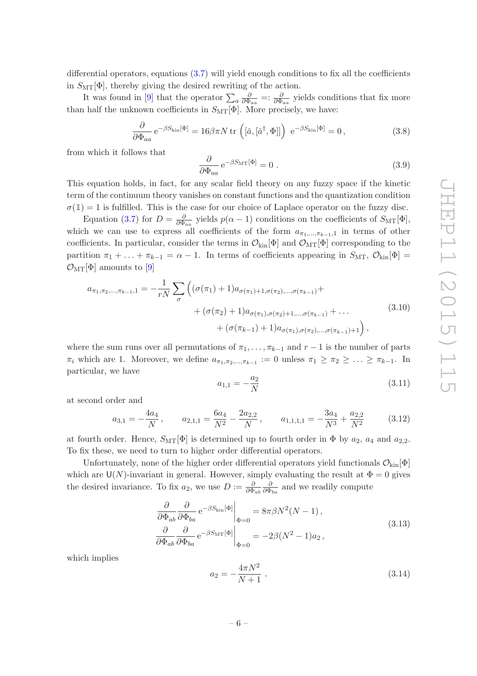differential operators, equations  $(3.7)$  will yield enough conditions to fix all the coefficients in  $S_{\text{MT}}[\Phi]$ , thereby giving the desired rewriting of the action.

It was found in [\[9\]](#page-18-1) that the operator  $\sum_{a} \frac{\partial}{\partial \Phi}$  $\frac{\partial}{\partial \Phi_{aa}} =: \frac{\partial}{\partial \Phi_{aa}}$  yields conditions that fix more than half the unknown coefficients in  $S_{\text{MT}}[\Phi]$ . More precisely, we have:

$$
\frac{\partial}{\partial \Phi_{aa}} e^{-\beta S_{\text{kin}}[\Phi]} = 16\beta \pi N \operatorname{tr}\left( [\check{a}, [\check{a}^{\dagger}, \Phi]] \right) e^{-\beta S_{\text{kin}}[\Phi]} = 0, \qquad (3.8)
$$

from which it follows that

$$
\frac{\partial}{\partial \Phi_{aa}} e^{-\beta S_{\rm MT}[\Phi]} = 0.
$$
\n(3.9)

This equation holds, in fact, for any scalar field theory on any fuzzy space if the kinetic term of the continuum theory vanishes on constant functions and the quantization condition  $\sigma(1) = 1$  is fulfilled. This is the case for our choice of Laplace operator on the fuzzy disc.

Equation [\(3.7\)](#page-6-0) for  $D = \frac{\partial}{\partial \Phi}$  $\frac{\partial}{\partial \Phi_{aa}}$  yields  $p(\alpha - 1)$  conditions on the coefficients of  $S_{\rm MT}[\Phi],$ which we can use to express all coefficients of the form  $a_{\pi_1,\dots,\pi_{k-1},1}$  in terms of other coefficients. In particular, consider the terms in  $\mathcal{O}_{\text{kin}}[\Phi]$  and  $\mathcal{O}_{\text{MT}}[\Phi]$  corresponding to the partition  $\pi_1 + \ldots + \pi_{k-1} = \alpha - 1$ . In terms of coefficients appearing in  $S_{\text{MT}}$ ,  $\mathcal{O}_{\text{kin}}[\Phi] =$  $\mathcal{O}_{\text{MT}}[\Phi]$  amounts to [\[9\]](#page-18-1)

$$
a_{\pi_1, \pi_2, \dots, \pi_{k-1}, 1} = -\frac{1}{rN} \sum_{\sigma} \left( (\sigma(\pi_1) + 1) a_{\sigma(\pi_1) + 1, \sigma(\pi_2), \dots, \sigma(\pi_{k-1})} + (\sigma(\pi_2) + 1) a_{\sigma(\pi_1), \sigma(\pi_2) + 1, \dots, \sigma(\pi_{k-1})} + \dots + (\sigma(\pi_{k-1}) + 1) a_{\sigma(\pi_1), \sigma(\pi_2), \dots, \sigma(\pi_{k-1}) + 1} \right),
$$
\n
$$
(3.10)
$$

where the sum runs over all permutations of  $\pi_1, \ldots, \pi_{k-1}$  and  $r-1$  is the number of parts  $\pi_i$  which are 1. Moreover, we define  $a_{\pi_1,\pi_2,\dots,\pi_{k-1}} := 0$  unless  $\pi_1 \geq \pi_2 \geq \ldots \geq \pi_{k-1}$ . In particular, we have

$$
a_{1,1} = -\frac{a_2}{N} \tag{3.11}
$$

at second order and

$$
a_{3,1} = -\frac{4a_4}{N}, \qquad a_{2,1,1} = \frac{6a_4}{N^2} - \frac{2a_{2,2}}{N}, \qquad a_{1,1,1,1} = -\frac{3a_4}{N^3} + \frac{a_{2,2}}{N^2} \tag{3.12}
$$

at fourth order. Hence,  $S_{\text{MT}}[\Phi]$  is determined up to fourth order in  $\Phi$  by  $a_2$ ,  $a_4$  and  $a_{2,2}$ . To fix these, we need to turn to higher order differential operators.

Unfortunately, none of the higher order differential operators yield functionals  $\mathcal{O}_{\rm kin}[\Phi]$ which are  $U(N)$ -invariant in general. However, simply evaluating the result at  $\Phi = 0$  gives the desired invariance. To fix  $a_2$ , we use  $D := \frac{\partial}{\partial \Phi_{ab}}$ ∂  $\frac{\partial}{\partial \Phi_{ba}}$  and we readily compute

$$
\left. \frac{\partial}{\partial \Phi_{ab}} \frac{\partial}{\partial \Phi_{ba}} e^{-\beta S_{\text{kin}}[\Phi]} \right|_{\Phi=0} = 8\pi \beta N^2 (N-1), \n\left. \frac{\partial}{\partial \Phi_{ab}} \frac{\partial}{\partial \Phi_{ba}} e^{-\beta S_{\text{MT}}[\Phi]} \right|_{\Phi=0} = -2\beta (N^2 - 1)a_2,
$$
\n(3.13)

which implies

$$
a_2 = -\frac{4\pi N^2}{N+1} \tag{3.14}
$$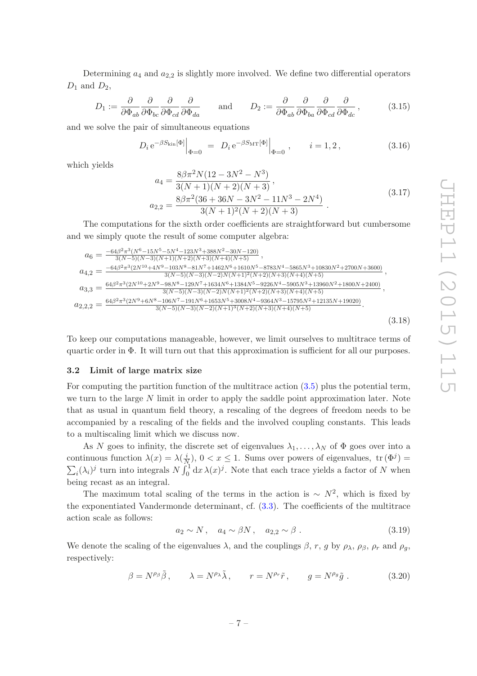Determining  $a_4$  and  $a_{2,2}$  is slightly more involved. We define two differential operators  $D_1$  and  $D_2$ ,

$$
D_1 := \frac{\partial}{\partial \Phi_{ab}} \frac{\partial}{\partial \Phi_{bc}} \frac{\partial}{\partial \Phi_{cd}} \frac{\partial}{\partial \Phi_{da}} \quad \text{and} \quad D_2 := \frac{\partial}{\partial \Phi_{ab}} \frac{\partial}{\partial \Phi_{ba}} \frac{\partial}{\partial \Phi_{cd}} \frac{\partial}{\partial \Phi_{dc}}, \quad (3.15)
$$

and we solve the pair of simultaneous equations

$$
D_i e^{-\beta S_{\text{kin}}[\Phi]} \Big|_{\Phi=0} = D_i e^{-\beta S_{\text{MT}}[\Phi]} \Big|_{\Phi=0}, \qquad i = 1, 2, \tag{3.16}
$$

which yields

$$
a_4 = \frac{8\beta\pi^2 N (12 - 3N^2 - N^3)}{3(N+1)(N+2)(N+3)},
$$
  
\n
$$
a_{2,2} = \frac{8\beta\pi^2 (36 + 36N - 3N^2 - 11N^3 - 2N^4)}{3(N+1)^2(N+2)(N+3)}.
$$
\n(3.17)

The computations for the sixth order coefficients are straightforward but cumbersome and we simply quote the result of some computer algebra:

$$
a_{6} = \frac{-64\beta^{2}\pi^{3}(N^{6}-15N^{5}-5N^{4}-123N^{3}+388N^{2}-30N-120)}{3(N-5)(N-3)(N+1)(N+2)(N+3)(N+4)(N+5)},
$$
  
\n
$$
a_{4,2} = \frac{-64\beta^{2}\pi^{3}(2N^{10}+4N^{9}-103N^{8}-81N^{7}+1462N^{6}+1610N^{5}-8783N^{4}-5865N^{3}+10830N^{2}+2700N+3600)}{3(N-5)(N-3)(N-2)N(N+1)^{2}(N+2)(N+3)(N+4)(N+5)},
$$
  
\n
$$
a_{3,3} = \frac{64\beta^{2}\pi^{3}(2N^{10}+2N^{9}-98N^{8}-129N^{7}+1634N^{6}+1384N^{5}-9226N^{4}-5905N^{3}+13960N^{2}+1800N+2400)}{3(N-5)(N-3)(N-2)N(N+1)^{2}(N+2)(N+3)(N+4)(N+5)},
$$
  
\n
$$
a_{2,2,2} = \frac{64\beta^{2}\pi^{3}(2N^{9}+6N^{8}-106N^{7}-191N^{6}+1653N^{5}+3008N^{4}-9364N^{3}-15795N^{2}+12135N+19020)}{3(N-5)(N-3)(N-2)(N+1)^{3}(N+2)(N+3)(N+4)(N+5)}.
$$
  
\n(3.18)

To keep our computations manageable, however, we limit ourselves to multitrace terms of quartic order in  $\Phi$ . It will turn out that this approximation is sufficient for all our purposes.

## <span id="page-8-0"></span>3.2 Limit of large matrix size

For computing the partition function of the multitrace action [\(3.5\)](#page-6-1) plus the potential term, we turn to the large N limit in order to apply the saddle point approximation later. Note that as usual in quantum field theory, a rescaling of the degrees of freedom needs to be accompanied by a rescaling of the fields and the involved coupling constants. This leads to a multiscaling limit which we discuss now.

As N goes to infinity, the discrete set of eigenvalues  $\lambda_1, \ldots, \lambda_N$  of  $\Phi$  goes over into a continuous function  $\lambda(x) = \lambda(\frac{i}{\lambda})$  $\frac{i}{N}$ ,  $0 < x \leq 1$ . Sums over powers of eigenvalues,  $tr(\Phi^j)$  =  $\sum_i (\lambda_i)^j$  turn into integrals  $N \int_0^1 dx \lambda(x)^j$ . Note that each trace yields a factor of N when being recast as an integral.

The maximum total scaling of the terms in the action is  $\sim N^2$ , which is fixed by the exponentiated Vandermonde determinant, cf. [\(3.3\)](#page-6-2). The coefficients of the multitrace action scale as follows:

$$
a_2 \sim N \,, \quad a_4 \sim \beta N \,, \quad a_{2,2} \sim \beta \,. \tag{3.19}
$$

We denote the scaling of the eigenvalues  $\lambda$ , and the couplings  $\beta$ , r, g by  $\rho_{\lambda}$ ,  $\rho_{\beta}$ ,  $\rho_r$  and  $\rho_q$ , respectively:

$$
\beta = N^{\rho_{\beta}} \tilde{\beta}, \qquad \lambda = N^{\rho_{\lambda}} \tilde{\lambda}, \qquad r = N^{\rho_{r}} \tilde{r}, \qquad g = N^{\rho_{g}} \tilde{g}. \tag{3.20}
$$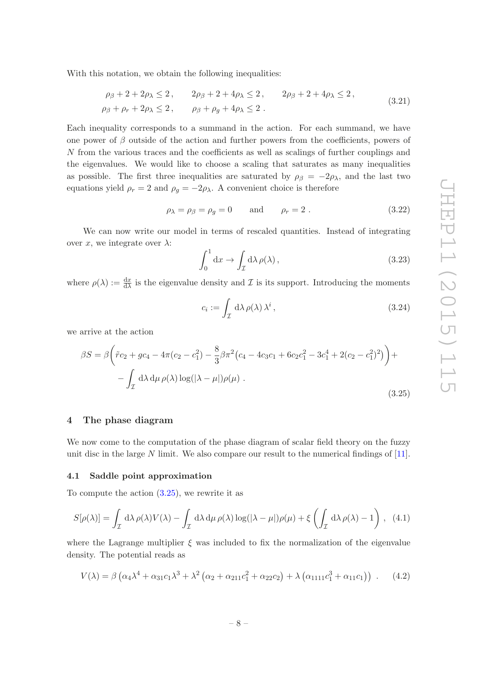With this notation, we obtain the following inequalities:

$$
\rho_{\beta} + 2 + 2\rho_{\lambda} \le 2, \qquad 2\rho_{\beta} + 2 + 4\rho_{\lambda} \le 2, \qquad 2\rho_{\beta} + 2 + 4\rho_{\lambda} \le 2, \n\rho_{\beta} + \rho_r + 2\rho_{\lambda} \le 2, \qquad \rho_{\beta} + \rho_g + 4\rho_{\lambda} \le 2.
$$
\n(3.21)

Each inequality corresponds to a summand in the action. For each summand, we have one power of  $\beta$  outside of the action and further powers from the coefficients, powers of N from the various traces and the coefficients as well as scalings of further couplings and the eigenvalues. We would like to choose a scaling that saturates as many inequalities as possible. The first three inequalities are saturated by  $\rho_{\beta} = -2\rho_{\lambda}$ , and the last two equations yield  $\rho_r = 2$  and  $\rho_g = -2\rho_\lambda$ . A convenient choice is therefore

$$
\rho_{\lambda} = \rho_{\beta} = \rho_g = 0 \quad \text{and} \quad \rho_r = 2. \tag{3.22}
$$

We can now write our model in terms of rescaled quantities. Instead of integrating over x, we integrate over  $\lambda$ :

$$
\int_0^1 dx \to \int_{\mathcal{I}} d\lambda \,\rho(\lambda) \,, \tag{3.23}
$$

where  $\rho(\lambda) := \frac{dx}{d\lambda}$  is the eigenvalue density and  $\mathcal I$  is its support. Introducing the moments

$$
c_i := \int_{\mathcal{I}} d\lambda \, \rho(\lambda) \, \lambda^i \,, \tag{3.24}
$$

we arrive at the action

<span id="page-9-2"></span>
$$
\beta S = \beta \left( \tilde{r}c_2 + gc_4 - 4\pi (c_2 - c_1^2) - \frac{8}{3} \beta \pi^2 (c_4 - 4c_3 c_1 + 6c_2 c_1^2 - 3c_1^4 + 2(c_2 - c_1^2)^2) \right) +
$$

$$
- \int_{\mathcal{I}} d\lambda d\mu \,\rho(\lambda) \log(|\lambda - \mu|) \rho(\mu) . \tag{3.25}
$$

## <span id="page-9-0"></span>4 The phase diagram

We now come to the computation of the phase diagram of scalar field theory on the fuzzy unit disc in the large  $N$  limit. We also compare our result to the numerical findings of [\[11\]](#page-18-3).

#### <span id="page-9-1"></span>4.1 Saddle point approximation

To compute the action [\(3.25\)](#page-9-2), we rewrite it as

<span id="page-9-3"></span>
$$
S[\rho(\lambda)] = \int_{\mathcal{I}} d\lambda \, \rho(\lambda) V(\lambda) - \int_{\mathcal{I}} d\lambda \, d\mu \, \rho(\lambda) \log(|\lambda - \mu|) \rho(\mu) + \xi \left( \int_{\mathcal{I}} d\lambda \, \rho(\lambda) - 1 \right), \tag{4.1}
$$

where the Lagrange multiplier  $\xi$  was included to fix the normalization of the eigenvalue density. The potential reads as

$$
V(\lambda) = \beta \left( \alpha_4 \lambda^4 + \alpha_{31} c_1 \lambda^3 + \lambda^2 \left( \alpha_2 + \alpha_{211} c_1^2 + \alpha_{22} c_2 \right) + \lambda \left( \alpha_{1111} c_1^3 + \alpha_{11} c_1 \right) \right) \ . \tag{4.2}
$$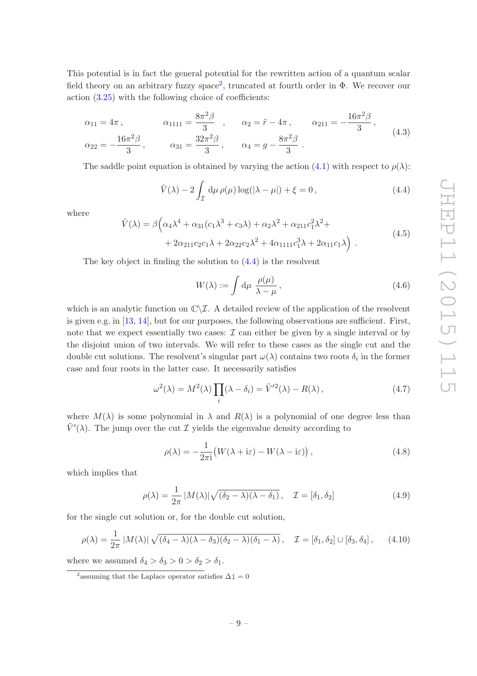This potential is in fact the general potential for the rewritten action of a quantum scalar field theory on an arbitrary fuzzy space<sup>[2](#page-10-0)</sup>, truncated at fourth order in  $\Phi$ . We recover our action [\(3.25\)](#page-9-2) with the following choice of coefficients:

$$
\alpha_{11} = 4\pi \,, \qquad \alpha_{1111} = \frac{8\pi^2 \beta}{3} \,, \qquad \alpha_2 = \tilde{r} - 4\pi \,, \qquad \alpha_{211} = -\frac{16\pi^2 \beta}{3} \,,
$$
\n
$$
\alpha_{22} = -\frac{16\pi^2 \beta}{3} \,, \qquad \alpha_{31} = \frac{32\pi^2 \beta}{3} \,, \qquad \alpha_4 = g - \frac{8\pi^2 \beta}{3} \,. \tag{4.3}
$$

The saddle point equation is obtained by varying the action [\(4.1\)](#page-9-3) with respect to  $\rho(\lambda)$ :

<span id="page-10-1"></span>
$$
\tilde{V}(\lambda) - 2 \int_{\mathcal{I}} d\mu \,\rho(\mu) \log(|\lambda - \mu|) + \xi = 0, \qquad (4.4)
$$

where

$$
\tilde{V}(\lambda) = \beta \Big( \alpha_4 \lambda^4 + \alpha_{31} (c_1 \lambda^3 + c_3 \lambda) + \alpha_2 \lambda^2 + \alpha_{211} c_1^2 \lambda^2 + \n+ 2 \alpha_{211} c_2 c_1 \lambda + 2 \alpha_{22} c_2 \lambda^2 + 4 \alpha_{1111} c_1^3 \lambda + 2 \alpha_{11} c_1 \lambda \Big) .
$$
\n(4.5)

The key object in finding the solution to [\(4.4\)](#page-10-1) is the resolvent

$$
W(\lambda) := \int d\mu \; \frac{\rho(\mu)}{\lambda - \mu}, \tag{4.6}
$$

which is an analytic function on  $\mathbb{C}\backslash\mathcal{I}$ . A detailed review of the application of the resolvent is given e.g. in  $[13, 14]$  $[13, 14]$  $[13, 14]$ , but for our purposes, the following observations are sufficient. First, note that we expect essentially two cases:  $\mathcal I$  can either be given by a single interval or by the disjoint union of two intervals. We will refer to these cases as the single cut and the double cut solutions. The resolvent's singular part  $\omega(\lambda)$  contains two roots  $\delta_i$  in the former case and four roots in the latter case. It necessarily satisfies

<span id="page-10-2"></span>
$$
\omega^2(\lambda) = M^2(\lambda) \prod_i (\lambda - \delta_i) = \tilde{V}'^2(\lambda) - R(\lambda), \qquad (4.7)
$$

where  $M(\lambda)$  is some polynomial in  $\lambda$  and  $R(\lambda)$  is a polynomial of one degree less than  $\tilde{V}'(\lambda)$ . The jump over the cut  $\mathcal I$  yields the eigenvalue density according to

$$
\rho(\lambda) = -\frac{1}{2\pi i} \big( W(\lambda + i\varepsilon) - W(\lambda - i\varepsilon) \big) \,, \tag{4.8}
$$

which implies that

$$
\rho(\lambda) = \frac{1}{2\pi} |M(\lambda)| \sqrt{(\delta_2 - \lambda)(\lambda - \delta_1)}, \quad \mathcal{I} = [\delta_1, \delta_2]
$$
\n(4.9)

for the single cut solution or, for the double cut solution,

$$
\rho(\lambda) = \frac{1}{2\pi} |M(\lambda)| \sqrt{(\delta_4 - \lambda)(\lambda - \delta_3)(\delta_2 - \lambda)(\delta_1 - \lambda)}, \quad \mathcal{I} = [\delta_1, \delta_2] \cup [\delta_3, \delta_4], \tag{4.10}
$$

where we assumed  $\delta_4 > \delta_3 > 0 > \delta_2 > \delta_1$ .

<span id="page-10-0"></span><sup>&</sup>lt;sup>2</sup> assuming that the Laplace operator satisfies  $\Delta \mathbb{1} = 0$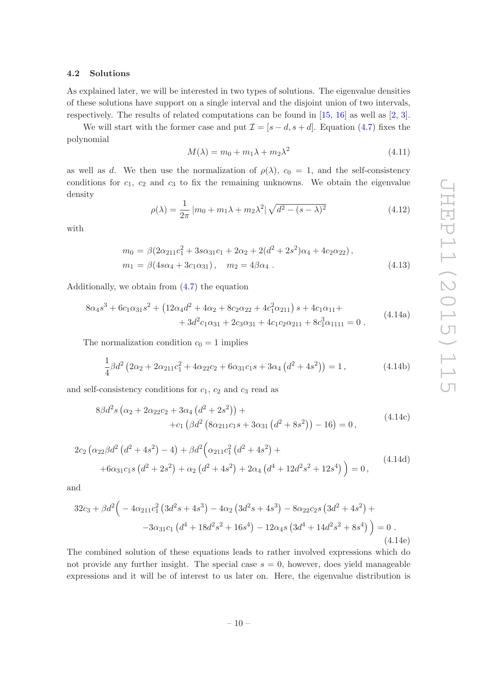## <span id="page-11-0"></span>4.2 Solutions

As explained later, we will be interested in two types of solutions. The eigenvalue densities of these solutions have support on a single interval and the disjoint union of two intervals, respectively. The results of related computations can be found in [\[15](#page-18-7), [16\]](#page-18-8) as well as [\[2,](#page-17-1) [3\]](#page-17-2).

We will start with the former case and put  $\mathcal{I} = [s - d, s + d]$ . Equation [\(4.7\)](#page-10-2) fixes the polynomial

$$
M(\lambda) = m_0 + m_1 \lambda + m_2 \lambda^2 \tag{4.11}
$$

as well as d. We then use the normalization of  $\rho(\lambda)$ ,  $c_0 = 1$ , and the self-consistency conditions for  $c_1$ ,  $c_2$  and  $c_3$  to fix the remaining unknowns. We obtain the eigenvalue density

<span id="page-11-1"></span>
$$
\rho(\lambda) = \frac{1}{2\pi} |m_0 + m_1\lambda + m_2\lambda^2| \sqrt{d^2 - (s - \lambda)^2}
$$
 (4.12)

with

$$
m_0 = \beta (2\alpha_{211}c_1^2 + 3s\alpha_{31}c_1 + 2\alpha_2 + 2(d^2 + 2s^2)\alpha_4 + 4c_2\alpha_{22}),
$$
  
\n
$$
m_1 = \beta (4s\alpha_4 + 3c_1\alpha_{31}), \quad m_2 = 4\beta\alpha_4.
$$
\n(4.13)

Additionally, we obtain from [\(4.7\)](#page-10-2) the equation

$$
8\alpha_4 s^3 + 6c_1 \alpha_{31} s^2 + (12\alpha_4 d^2 + 4\alpha_2 + 8c_2 \alpha_{22} + 4c_1^2 \alpha_{211}) s + 4c_1 \alpha_{11} ++ 3d^2 c_1 \alpha_{31} + 2c_3 \alpha_{31} + 4c_1 c_2 \alpha_{211} + 8c_1^3 \alpha_{1111} = 0.
$$
 (4.14a)

The normalization condition  $c_0 = 1$  implies

$$
\frac{1}{4}\beta d^2 \left(2\alpha_2 + 2\alpha_{211}c_1^2 + 4\alpha_{22}c_2 + 6\alpha_{31}c_1s + 3\alpha_4\left(d^2 + 4s^2\right)\right) = 1,
$$
\n(4.14b)

and self-consistency conditions for  $c_1$ ,  $c_2$  and  $c_3$  read as

$$
8\beta d^2 s \left(\alpha_2 + 2\alpha_{22}c_2 + 3\alpha_4 \left(d^2 + 2s^2\right)\right) + \\ + c_1 \left(\beta d^2 \left(8\alpha_{211}c_1s + 3\alpha_{31} \left(d^2 + 8s^2\right)\right) - 16\right) = 0, \tag{4.14c}
$$

$$
2c_2 \left(\alpha_{22}\beta d^2 \left(d^2+4s^2\right)-4\right)+\beta d^2 \left(\alpha_{211}c_1^2 \left(d^2+4s^2\right)+\right.
$$
  
+6\alpha\_{31}c\_1 s \left(d^2+2s^2\right)+\alpha\_2 \left(d^2+4s^2\right)+2\alpha\_4 \left(d^4+12d^2 s^2+12s^4\right)\right)=0, \tag{4.14d}

and

$$
32c_3 + \beta d^2 \left( -4\alpha_{211}c_1^2 \left( 3d^2 s + 4s^3 \right) - 4\alpha_2 \left( 3d^2 s + 4s^3 \right) - 8\alpha_{22}c_2 s \left( 3d^2 + 4s^2 \right) + \right. \\ \left. -3\alpha_{31}c_1 \left( d^4 + 18d^2 s^2 + 16s^4 \right) - 12\alpha_4 s \left( 3d^4 + 14d^2 s^2 + 8s^4 \right) \right) = 0 \tag{4.14e}
$$

The combined solution of these equations leads to rather involved expressions which do not provide any further insight. The special case  $s = 0$ , however, does yield manageable expressions and it will be of interest to us later on. Here, the eigenvalue distribution is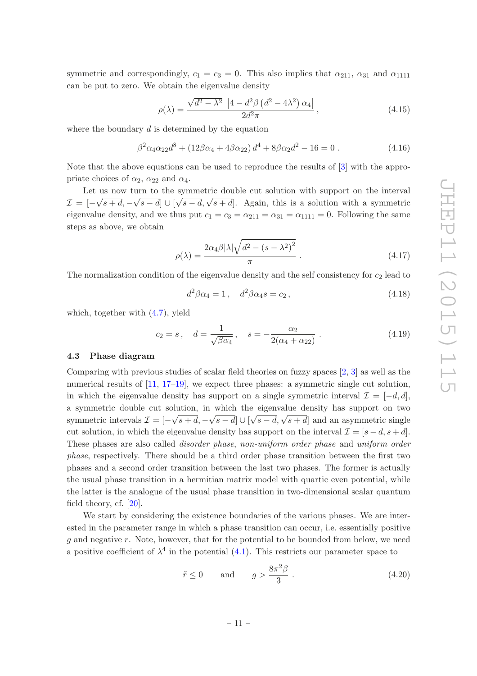symmetric and correspondingly,  $c_1 = c_3 = 0$ . This also implies that  $\alpha_{211}$ ,  $\alpha_{31}$  and  $\alpha_{1111}$ can be put to zero. We obtain the eigenvalue density

$$
\rho(\lambda) = \frac{\sqrt{d^2 - \lambda^2} \left| 4 - d^2 \beta \left( d^2 - 4\lambda^2 \right) \alpha_4 \right|}{2d^2 \pi}, \qquad (4.15)
$$

where the boundary  $d$  is determined by the equation

$$
\beta^2 \alpha_4 \alpha_{22} d^8 + (12\beta \alpha_4 + 4\beta \alpha_{22}) d^4 + 8\beta \alpha_2 d^2 - 16 = 0.
$$
 (4.16)

Note that the above equations can be used to reproduce the results of [\[3\]](#page-17-2) with the appropriate choices of  $\alpha_2$ ,  $\alpha_{22}$  and  $\alpha_4$ .

Let us now turn to the symmetric double cut solution with support on the interval  $\mathcal{I} = [-\sqrt{s+d}, -\sqrt{s-d}] \cup [\sqrt{s-d}, \sqrt{s+d}]$ . Again, this is a solution with a symmetric eigenvalue density, and we thus put  $c_1 = c_3 = \alpha_{211} = \alpha_{31} = \alpha_{1111} = 0$ . Following the same steps as above, we obtain

$$
\rho(\lambda) = \frac{2\alpha_4 \beta |\lambda| \sqrt{d^2 - (s - \lambda^2)^2}}{\pi} \,. \tag{4.17}
$$

The normalization condition of the eigenvalue density and the self consistency for  $c_2$  lead to

$$
d^2\beta\alpha_4 = 1\,, \quad d^2\beta\alpha_4 s = c_2\,,\tag{4.18}
$$

which, together with  $(4.7)$ , yield

$$
c_2 = s
$$
,  $d = \frac{1}{\sqrt{\beta \alpha_4}}$ ,  $s = -\frac{\alpha_2}{2(\alpha_4 + \alpha_{22})}$ . (4.19)

## <span id="page-12-0"></span>4.3 Phase diagram

Comparing with previous studies of scalar field theories on fuzzy spaces [\[2,](#page-17-1) [3](#page-17-2)] as well as the numerical results of [\[11](#page-18-3), [17](#page-18-9)[–19\]](#page-18-10), we expect three phases: a symmetric single cut solution, in which the eigenvalue density has support on a single symmetric interval  $\mathcal{I} = [-d, d]$ , a symmetric double cut solution, in which the eigenvalue density has support on two symmetric intervals  $\mathcal{I} = [-\sqrt{s+d}, -\sqrt{s-d}] \cup [\sqrt{s-d}, \sqrt{s+d}]$  and an asymmetric single cut solution, in which the eigenvalue density has support on the interval  $\mathcal{I} = [s - d, s + d]$ . These phases are also called disorder phase, non-uniform order phase and uniform order phase, respectively. There should be a third order phase transition between the first two phases and a second order transition between the last two phases. The former is actually the usual phase transition in a hermitian matrix model with quartic even potential, while the latter is the analogue of the usual phase transition in two-dimensional scalar quantum field theory, cf. [\[20](#page-18-11)].

We start by considering the existence boundaries of the various phases. We are interested in the parameter range in which a phase transition can occur, i.e. essentially positive  $g$  and negative  $r$ . Note, however, that for the potential to be bounded from below, we need a positive coefficient of  $\lambda^4$  in the potential [\(4.1\)](#page-9-3). This restricts our parameter space to

$$
\tilde{r} \le 0
$$
 and  $g > \frac{8\pi^2 \beta}{3}$ . (4.20)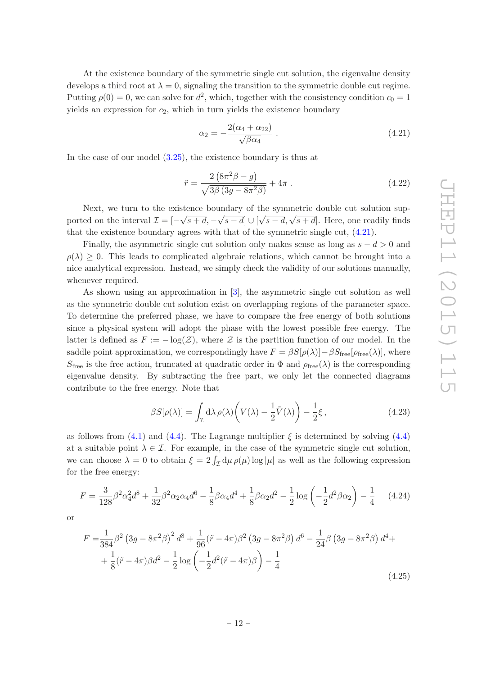At the existence boundary of the symmetric single cut solution, the eigenvalue density develops a third root at  $\lambda = 0$ , signaling the transition to the symmetric double cut regime. Putting  $\rho(0) = 0$ , we can solve for  $d^2$ , which, together with the consistency condition  $c_0 = 1$ yields an expression for  $c_2$ , which in turn yields the existence boundary

<span id="page-13-0"></span>
$$
\alpha_2 = -\frac{2(\alpha_4 + \alpha_{22})}{\sqrt{\beta \alpha_4}}.
$$
\n(4.21)

In the case of our model [\(3.25\)](#page-9-2), the existence boundary is thus at

$$
\tilde{r} = \frac{2\left(8\pi^2\beta - g\right)}{\sqrt{3\beta\left(3g - 8\pi^2\beta\right)}} + 4\pi \ . \tag{4.22}
$$

Next, we turn to the existence boundary of the symmetric double cut solution supported on the interval  $\mathcal{I} = [-\sqrt{s+d}, -\sqrt{s-d}] \cup [\sqrt{s-d}, \sqrt{s+d}]$ . Here, one readily finds that the existence boundary agrees with that of the symmetric single cut, [\(4.21\)](#page-13-0).

Finally, the asymmetric single cut solution only makes sense as long as  $s - d > 0$  and  $\rho(\lambda) \geq 0$ . This leads to complicated algebraic relations, which cannot be brought into a nice analytical expression. Instead, we simply check the validity of our solutions manually, whenever required.

As shown using an approximation in [\[3\]](#page-17-2), the asymmetric single cut solution as well as the symmetric double cut solution exist on overlapping regions of the parameter space. To determine the preferred phase, we have to compare the free energy of both solutions since a physical system will adopt the phase with the lowest possible free energy. The latter is defined as  $F := -\log(\mathcal{Z})$ , where  $\mathcal Z$  is the partition function of our model. In the saddle point approximation, we correspondingly have  $F = \beta S[\rho(\lambda)] - \beta S_{\text{free}}[\rho_{\text{free}}(\lambda)]$ , where  $S_{\text{free}}$  is the free action, truncated at quadratic order in  $\Phi$  and  $\rho_{\text{free}}(\lambda)$  is the corresponding eigenvalue density. By subtracting the free part, we only let the connected diagrams contribute to the free energy. Note that

$$
\beta S[\rho(\lambda)] = \int_{\mathcal{I}} d\lambda \, \rho(\lambda) \left( V(\lambda) - \frac{1}{2} \tilde{V}(\lambda) \right) - \frac{1}{2} \xi \,, \tag{4.23}
$$

as follows from [\(4.1\)](#page-9-3) and [\(4.4\)](#page-10-1). The Lagrange multiplier  $\xi$  is determined by solving (4.4) at a suitable point  $\lambda \in \mathcal{I}$ . For example, in the case of the symmetric single cut solution, we can choose  $\lambda = 0$  to obtain  $\xi = 2 \int_{\mathcal{I}} d\mu \rho(\mu) \log |\mu|$  as well as the following expression for the free energy:

$$
F = \frac{3}{128}\beta^2 \alpha_4^2 d^8 + \frac{1}{32}\beta^2 \alpha_2 \alpha_4 d^6 - \frac{1}{8}\beta \alpha_4 d^4 + \frac{1}{8}\beta \alpha_2 d^2 - \frac{1}{2}\log\left(-\frac{1}{2}d^2 \beta \alpha_2\right) - \frac{1}{4}
$$
 (4.24)

or

$$
F = \frac{1}{384} \beta^2 \left( 3g - 8\pi^2 \beta \right)^2 d^8 + \frac{1}{96} (\tilde{r} - 4\pi) \beta^2 \left( 3g - 8\pi^2 \beta \right) d^6 - \frac{1}{24} \beta \left( 3g - 8\pi^2 \beta \right) d^4 +
$$
  
+ 
$$
\frac{1}{8} (\tilde{r} - 4\pi) \beta d^2 - \frac{1}{2} \log \left( -\frac{1}{2} d^2 (\tilde{r} - 4\pi) \beta \right) - \frac{1}{4}
$$
(4.25)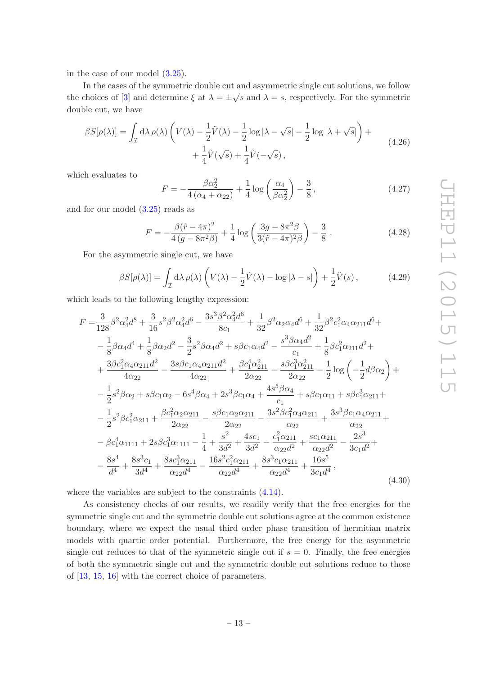in the case of our model [\(3.25\)](#page-9-2).

In the cases of the symmetric double cut and asymmetric single cut solutions, we follow the choices of [\[3\]](#page-17-2) and determine  $\xi$  at  $\lambda = \pm \sqrt{s}$  and  $\lambda = s$ , respectively. For the symmetric double cut, we have

$$
\beta S[\rho(\lambda)] = \int_{\mathcal{I}} d\lambda \,\rho(\lambda) \left( V(\lambda) - \frac{1}{2} \tilde{V}(\lambda) - \frac{1}{2} \log |\lambda - \sqrt{s}| - \frac{1}{2} \log |\lambda + \sqrt{s}| \right) +
$$
  
 
$$
+ \frac{1}{4} \tilde{V}(\sqrt{s}) + \frac{1}{4} \tilde{V}(-\sqrt{s}), \tag{4.26}
$$

which evaluates to

$$
F = -\frac{\beta \alpha_2^2}{4(\alpha_4 + \alpha_{22})} + \frac{1}{4} \log \left( \frac{\alpha_4}{\beta \alpha_2^2} \right) - \frac{3}{8},\tag{4.27}
$$

and for our model [\(3.25\)](#page-9-2) reads as

$$
F = -\frac{\beta(\tilde{r} - 4\pi)^2}{4(g - 8\pi^2 \beta)} + \frac{1}{4} \log \left( \frac{3g - 8\pi^2 \beta}{3(\tilde{r} - 4\pi)^2 \beta} \right) - \frac{3}{8} \,. \tag{4.28}
$$

For the asymmetric single cut, we have

$$
\beta S[\rho(\lambda)] = \int_{\mathcal{I}} d\lambda \, \rho(\lambda) \left( V(\lambda) - \frac{1}{2} \tilde{V}(\lambda) - \log|\lambda - s| \right) + \frac{1}{2} \tilde{V}(s) \,, \tag{4.29}
$$

which leads to the following lengthy expression:

$$
F = \frac{3}{128}\beta^2\alpha_4^2d^8 + \frac{3}{16}s^2\beta^2\alpha_4^2d^6 - \frac{3s^3\beta^2\alpha_4^2d^6}{8c_1} + \frac{1}{32}\beta^2\alpha_2\alpha_4d^6 + \frac{1}{32}\beta^2c_1^2\alpha_4\alpha_{211}d^6 + -\frac{1}{8}\beta\alpha_4d^4 + \frac{1}{8}\beta\alpha_2d^2 - \frac{3}{2}s^2\beta\alpha_4d^2 + s\beta c_1\alpha_4d^2 - \frac{s^3\beta\alpha_4d^2}{c_1} + \frac{1}{8}\beta c_1^2\alpha_{211}d^2 + +\frac{3\beta c_1^2\alpha_4\alpha_{211}d^2}{4\alpha_{22}} - \frac{3s\beta c_1\alpha_4\alpha_{211}d^2}{4\alpha_{22}} + \frac{\beta c_1^4\alpha_{211}^2}{2\alpha_{22}} - \frac{s\beta c_1^3\alpha_{211}^2}{2\alpha_{22}} - \frac{1}{2}\log\left(-\frac{1}{2}d\beta\alpha_2\right) + -\frac{1}{2}s^2\beta\alpha_2 + s\beta c_1\alpha_2 - 6s^4\beta\alpha_4 + 2s^3\beta c_1\alpha_4 + \frac{4s^5\beta\alpha_4}{c_1} + s\beta c_1\alpha_{11} + s\beta c_1^3\alpha_{211} + -\frac{1}{2}s^2\beta c_1^2\alpha_{211} + \frac{\beta c_1^2\alpha_2\alpha_{211}}{2\alpha_{22}} - \frac{s\beta c_1\alpha_2\alpha_{211}}{2\alpha_{22}} - \frac{3s^2\beta c_1^2\alpha_4\alpha_{211}}{\alpha_{22}} + \frac{3s^3\beta c_1\alpha_4\alpha_{211}}{\alpha_{22}} + -\beta c_1^4\alpha_{1111} + 2s\beta c_1^3\alpha_{1111} - \frac{1}{4} + \frac{s^2}{3d^2} + \frac{4sc_1}{3d^2} - \frac{c_1^2\alpha_{211}}{\alpha_{22}d^2} + \frac{sc_1\alpha_{211}}{\alpha
$$

where the variables are subject to the constraints [\(4.14\)](#page-11-1).

As consistency checks of our results, we readily verify that the free energies for the symmetric single cut and the symmetric double cut solutions agree at the common existence boundary, where we expect the usual third order phase transition of hermitian matrix models with quartic order potential. Furthermore, the free energy for the asymmetric single cut reduces to that of the symmetric single cut if  $s = 0$ . Finally, the free energies of both the symmetric single cut and the symmetric double cut solutions reduce to those of [\[13,](#page-18-5) [15](#page-18-7), [16\]](#page-18-8) with the correct choice of parameters.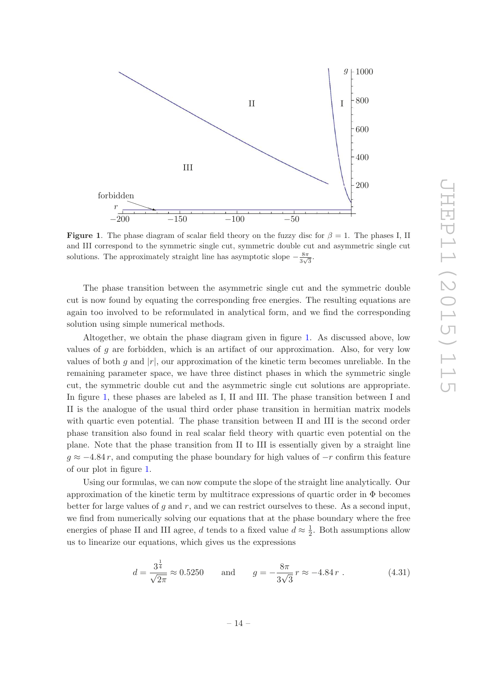

<span id="page-15-0"></span>**Figure 1.** The phase diagram of scalar field theory on the fuzzy disc for  $\beta = 1$ . The phases I, II and III correspond to the symmetric single cut, symmetric double cut and asymmetric single cut solutions. The approximately straight line has asymptotic slope  $-\frac{8\pi}{3\sqrt{2}}$  $rac{8\pi}{3\sqrt{3}}$ .

The phase transition between the asymmetric single cut and the symmetric double cut is now found by equating the corresponding free energies. The resulting equations are again too involved to be reformulated in analytical form, and we find the corresponding solution using simple numerical methods.

Altogether, we obtain the phase diagram given in figure [1.](#page-15-0) As discussed above, low values of g are forbidden, which is an artifact of our approximation. Also, for very low values of both g and  $|r|$ , our approximation of the kinetic term becomes unreliable. In the remaining parameter space, we have three distinct phases in which the symmetric single cut, the symmetric double cut and the asymmetric single cut solutions are appropriate. In figure [1,](#page-15-0) these phases are labeled as I, II and III. The phase transition between I and II is the analogue of the usual third order phase transition in hermitian matrix models with quartic even potential. The phase transition between II and III is the second order phase transition also found in real scalar field theory with quartic even potential on the plane. Note that the phase transition from II to III is essentially given by a straight line  $g \approx -4.84 r$ , and computing the phase boundary for high values of  $-r$  confirm this feature of our plot in figure [1.](#page-15-0)

Using our formulas, we can now compute the slope of the straight line analytically. Our approximation of the kinetic term by multitrace expressions of quartic order in  $\Phi$  becomes better for large values of  $q$  and  $r$ , and we can restrict ourselves to these. As a second input, we find from numerically solving our equations that at the phase boundary where the free energies of phase II and III agree, d tends to a fixed value  $d \approx \frac{1}{2}$  $\frac{1}{2}$ . Both assumptions allow us to linearize our equations, which gives us the expressions

<span id="page-15-1"></span>
$$
d = \frac{3^{\frac{1}{4}}}{\sqrt{2\pi}} \approx 0.5250 \quad \text{and} \quad g = -\frac{8\pi}{3\sqrt{3}} r \approx -4.84 r \,. \tag{4.31}
$$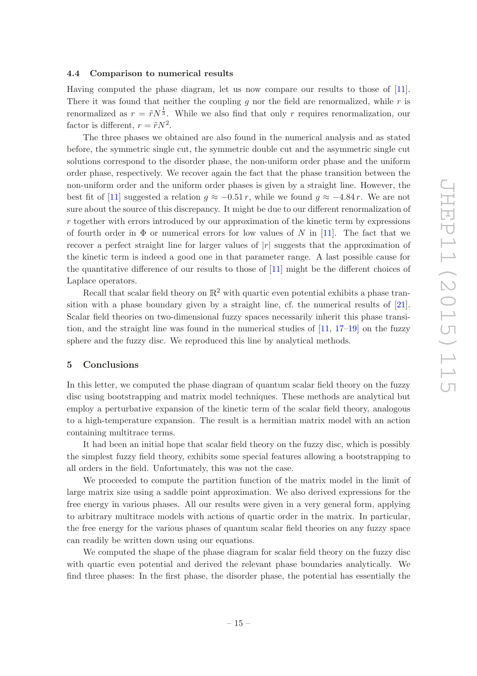#### <span id="page-16-0"></span>4.4 Comparison to numerical results

Having computed the phase diagram, let us now compare our results to those of [\[11\]](#page-18-3). There it was found that neither the coupling q nor the field are renormalized, while  $r$  is renormalized as  $r = \tilde{r}N^{\frac{1}{3}}$ . While we also find that only r requires renormalization, our factor is different,  $r = \tilde{r}N^2$ .

The three phases we obtained are also found in the numerical analysis and as stated before, the symmetric single cut, the symmetric double cut and the asymmetric single cut solutions correspond to the disorder phase, the non-uniform order phase and the uniform order phase, respectively. We recover again the fact that the phase transition between the non-uniform order and the uniform order phases is given by a straight line. However, the best fit of [\[11\]](#page-18-3) suggested a relation  $g \approx -0.51 r$ , while we found  $g \approx -4.84 r$ . We are not sure about the source of this discrepancy. It might be due to our different renormalization of r together with errors introduced by our approximation of the kinetic term by expressions of fourth order in  $\Phi$  or numerical errors for low values of N in [\[11](#page-18-3)]. The fact that we recover a perfect straight line for larger values of  $|r|$  suggests that the approximation of the kinetic term is indeed a good one in that parameter range. A last possible cause for the quantitative difference of our results to those of [\[11\]](#page-18-3) might be the different choices of Laplace operators.

Recall that scalar field theory on  $\mathbb{R}^2$  with quartic even potential exhibits a phase transition with a phase boundary given by a straight line, cf. the numerical results of [\[21\]](#page-18-12). Scalar field theories on two-dimensional fuzzy spaces necessarily inherit this phase transition, and the straight line was found in the numerical studies of [\[11,](#page-18-3) [17](#page-18-9)[–19](#page-18-10)] on the fuzzy sphere and the fuzzy disc. We reproduced this line by analytical methods.

## <span id="page-16-1"></span>5 Conclusions

In this letter, we computed the phase diagram of quantum scalar field theory on the fuzzy disc using bootstrapping and matrix model techniques. These methods are analytical but employ a perturbative expansion of the kinetic term of the scalar field theory, analogous to a high-temperature expansion. The result is a hermitian matrix model with an action containing multitrace terms.

It had been an initial hope that scalar field theory on the fuzzy disc, which is possibly the simplest fuzzy field theory, exhibits some special features allowing a bootstrapping to all orders in the field. Unfortunately, this was not the case.

We proceeded to compute the partition function of the matrix model in the limit of large matrix size using a saddle point approximation. We also derived expressions for the free energy in various phases. All our results were given in a very general form, applying to arbitrary multitrace models with actions of quartic order in the matrix. In particular, the free energy for the various phases of quantum scalar field theories on any fuzzy space can readily be written down using our equations.

We computed the shape of the phase diagram for scalar field theory on the fuzzy disc with quartic even potential and derived the relevant phase boundaries analytically. We find three phases: In the first phase, the disorder phase, the potential has essentially the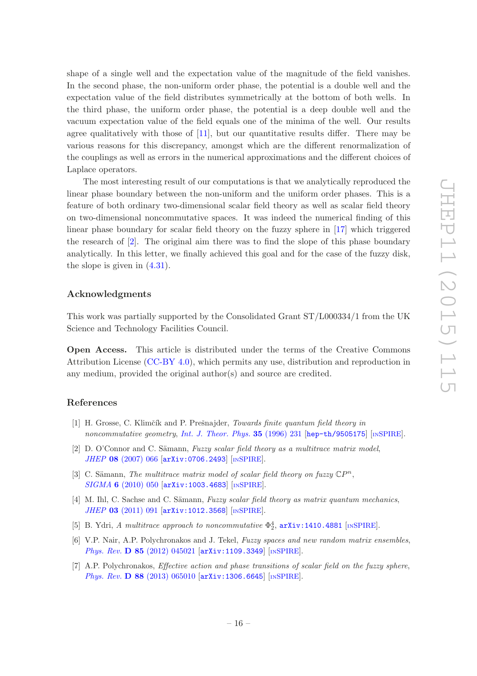shape of a single well and the expectation value of the magnitude of the field vanishes. In the second phase, the non-uniform order phase, the potential is a double well and the expectation value of the field distributes symmetrically at the bottom of both wells. In the third phase, the uniform order phase, the potential is a deep double well and the vacuum expectation value of the field equals one of the minima of the well. Our results agree qualitatively with those of [\[11](#page-18-3)], but our quantitative results differ. There may be various reasons for this discrepancy, amongst which are the different renormalization of the couplings as well as errors in the numerical approximations and the different choices of Laplace operators.

The most interesting result of our computations is that we analytically reproduced the linear phase boundary between the non-uniform and the uniform order phases. This is a feature of both ordinary two-dimensional scalar field theory as well as scalar field theory on two-dimensional noncommutative spaces. It was indeed the numerical finding of this linear phase boundary for scalar field theory on the fuzzy sphere in [\[17](#page-18-9)] which triggered the research of [\[2](#page-17-1)]. The original aim there was to find the slope of this phase boundary analytically. In this letter, we finally achieved this goal and for the case of the fuzzy disk, the slope is given in [\(4.31\)](#page-15-1).

## Acknowledgments

This work was partially supported by the Consolidated Grant ST/L000334/1 from the UK Science and Technology Facilities Council.

Open Access. This article is distributed under the terms of the Creative Commons Attribution License [\(CC-BY 4.0\)](http://creativecommons.org/licenses/by/4.0/), which permits any use, distribution and reproduction in any medium, provided the original author(s) and source are credited.

## References

- <span id="page-17-0"></span>[1] H. Grosse, C. Klimčík and P. Prešnajder, Towards finite quantum field theory in noncommutative geometry, [Int. J. Theor. Phys.](http://dx.doi.org/10.1007/BF02083810) 35 (1996) 231 [[hep-th/9505175](http://arxiv.org/abs/hep-th/9505175)] [IN[SPIRE](http://inspirehep.net/search?p=find+EPRINT+hep-th/9505175)].
- <span id="page-17-1"></span>[2] D. O'Connor and C. Sämann, Fuzzy scalar field theory as a multitrace matrix model, JHEP 08 [\(2007\) 066](http://dx.doi.org/10.1088/1126-6708/2007/08/066) [[arXiv:0706.2493](http://arxiv.org/abs/0706.2493)] [IN[SPIRE](http://inspirehep.net/search?p=find+EPRINT+arXiv:0706.2493)].
- <span id="page-17-2"></span>[3] C. Sämann, The multitrace matrix model of scalar field theory on fuzzy  $\mathbb{C}P^n$ , SIGMA 6 [\(2010\) 050](http://dx.doi.org/10.3842/SIGMA.2010.050) [[arXiv:1003.4683](http://arxiv.org/abs/1003.4683)] [IN[SPIRE](http://inspirehep.net/search?p=find+EPRINT+arXiv:1003.4683)].
- <span id="page-17-3"></span>[4] M. Ihl, C. Sachse and C. Sämann, Fuzzy scalar field theory as matrix quantum mechanics, JHEP 03 [\(2011\) 091](http://dx.doi.org/10.1007/JHEP03(2011)091) [[arXiv:1012.3568](http://arxiv.org/abs/1012.3568)] [IN[SPIRE](http://inspirehep.net/search?p=find+EPRINT+arXiv:1012.3568)].
- <span id="page-17-4"></span>[5] B. Ydri, A multitrace approach to noncommutative  $\Phi_2^4$ ,  $arXiv:1410.4881$  [IN[SPIRE](http://inspirehep.net/search?p=find+EPRINT+arXiv:1410.4881)].
- <span id="page-17-5"></span>[6] V.P. Nair, A.P. Polychronakos and J. Tekel, Fuzzy spaces and new random matrix ensembles, Phys. Rev. **D 85** [\(2012\) 045021](http://dx.doi.org/10.1103/PhysRevD.85.045021) [[arXiv:1109.3349](http://arxiv.org/abs/1109.3349)] [IN[SPIRE](http://inspirehep.net/search?p=find+EPRINT+arXiv:1109.3349)].
- [7] A.P. Polychronakos, *Effective action and phase transitions of scalar field on the fuzzy sphere*, Phys. Rev. D 88 [\(2013\) 065010](http://dx.doi.org/10.1103/PhysRevD.88.065010)  $arXiv:1306.6645$  [IN[SPIRE](http://inspirehep.net/search?p=find+EPRINT+arXiv:1306.6645)].